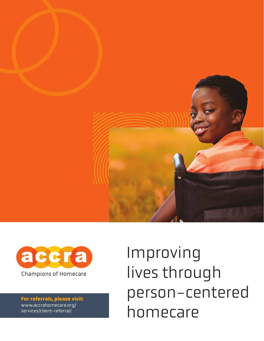



**For referrals, please visit:**  www.accrahomecare.org/ services/client-referral/

Improving lives through person-centered homecare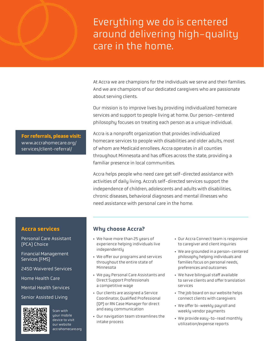# Everything we do is centered around delivering high-quality care in the home.

At Accra we are champions for the individuals we serve and their families. And we are champions of our dedicated caregivers who are passionate about serving clients.

Our mission is to improve lives by providing individualized homecare services and support to people living at home. Our person-centered philosophy focuses on treating each person as a unique individual.

Accra is a nonprofit organization that provides individualized homecare services to people with disabilities and older adults, most of whom are Medicaid enrollees. Accra operates in all counties throughout Minnesota and has offices across the state, providing a familiar presence in local communities.

Accra helps people who need care get self-directed assistance with activities of daily living. Accra's self-directed services support the independence of children, adolescents and adults with disabilities, chronic diseases, behavioral diagnoses and mental illnesses who need assistance with personal care in the home.

## **Accra services**

Personal Care Assistant (PCA) Choice

Financial Management Services (FMS)

245D Waivered Services

Home Health Care

Mental Health Services

Senior Assisted Living



uour mobile device to visit our website accrahomecare.org

Scan with

## Why choose Accra?

- We have more than 25 years of experience helping individuals live independently
- We offer our programs and services throughout the entire state of Minnesota
- We pay Personal Care Assistants and Direct Support Professionals a competitive wage
- Our clients are assigned a Service Coordinator, Qualified Professional (QP) or RN Case Manager for direct and easy communication
- Our navigation team streamlines the intake process
- Our Accra Connect team is responsive to caregiver and client inquiries
- We are grounded in a person-centered philosophy helping individuals and families focus on personal needs, preferences and outcomes
- We have bilingual staff available to serve clients and offer translation services
- The job board on our website helps connect clients with caregivers
- We offer bi-weekly payroll and weekly vendor payments
- We provide easy-to-read monthly utilization/expense reports

**For referrals, please visit:**  www.accrahomecare.org/ services/client-referral/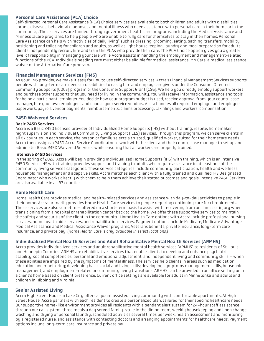#### Personal Care Assistance (PCA) Choice

Self-directed Personal Care Assistance (PCA) Choice services are available to both children and adults with disabilities, chronic diseases, behavioral diagnoses and mental illness who need assistance with personal care in their home or in the community. These services are funded through government health care programs, including the Medical Assistance and MinnesotaCare programs, to help people who are unable to fully care for themselves to stay in their homes. Personal Care Assistance can help with "activities of daily living" such as dressing, grooming, eating, bathing, transfers, mobility, positioning and toileting for children and adults, as well as light housekeeping, laundry and meal preparation for adults. Clients independently recruit, hire and train the PCAs who provide their care. The PCA Choice option gives you a greater level of responsibility in managing your care while Accra assists in handling the employment and management-related functions of the PCA. Individuals needing care must either be eligible for medical assistance, MN Care, a medical assistance waiver or the Alternative Care program.

#### Financial Management Services (FMS)

As your FMS provider, we make it easy for you to use self-directed services. Accra's Financial Management Services supports people with long-term care needs or disabilities to easily hire and employ caregivers under the Consumer Directed Community Supports (CDCS) program or the Consumer Support Grant (CSG). We help you directly employ support workers and purchase other supports that you need for living in the community. You will receive information, assistance and tools for being a participant-employer. You decide how your program budget is used, receive approval from your county case manager, hire your own employees and choose your service vendors. Accra handles all required employer and employee paperwork, payroll, vendor payments, reimbursements, claims processing, tax filings and workers' compensation.

#### 245D Waivered Services

#### Basic 245D Services

Accra is a Basic 245D licensed provider of Individualized Home Supports (IHS) without training, respite, homemaker, night supervision and Individual Community Living Support (ICLS) services. Through this program, we can serve clients in all 87 counties. In each service, the person or family selects a trusted, qualified worker, suited for their homecare needs. Accra then assigns a 245D Accra Service Coordinator to work with the client and their county case manager to set up and administer Basic 245D Waivered Services, while ensuring that all workers are properly trained.

#### Intensive 245D Services

In the spring of 2022, Accra will begin providing Individualized Home Supports (IHS) with training, which is an Intensive 245D Service. IHS with training provides support and training to adults who require assistance in at least one of the community living services categories. These service categories include community participation, health and wellness, household management and adaptive skills. Accra matches each client with a fully trained and qualified IHS Designated Coordinator who works directly with them to help them achieve their stated outcomes and goals. Intensive 245D Services are also available in all 87 counties.

#### Home Health Care

Home Health Care provides medical and health-related services and assistance with day-to-day activities to people in their home. Accra primarily provides Home Health Care services to people requiring continuing care for chronic needs. These services are also sometimes offered on a short-term basis to assist with recovering from an illness or injury when transitioning from a hospital or rehabilitation center back to the home. We offer these supportive services to maintain the safety and security of the client in the community. Home Health Care options with Accra include professional nursing services, home health aide services, and rehabilitation services. Payment options include Medicare, Medicare Advantage, Medical Assistance and Medical Assistance Waiver programs, Veterans benefits, private insurance, long-term care insurance, and private pay. *(Home Health Care is only available in select locations.)*

#### Individualized Mental Health Services and Adult Rehabilitative Mental Health Services (ARMHS)

Accra provides individualized services and adult rehabilitative mental health services (ARMHS) to residents of St. Louis and Hennepin Counties. ARMHS are rehabilitative services that enable clients to develop and enhance psychiatric stability, social competencies, personal and emotional adjustment, and independent living and community skills – when these abilities are impaired by the symptoms of mental illness. The services help clients in areas such as medication education and monitoring; developing basic social and living skills; developing symptoms management skills, household management, and employment-related or community living transitions. ARMHS can be provided in an office setting or in a client's home based on client preference. Current office settings are available for adults in Minnetonka and adults and children in Hibbing and Virginia.

#### Senior Assisted Living

Accra High Street House in Lake City offers a quaint assisted living community with comfortable apartments. At High Street House, Accra partners with each resident to create a personalized plan, tailored for their specific healthcare needs. Our supportive home-like environment provides all residents with a pendant alert system for 24-hour staff assistance through our call system, three meals a day served family-style in the dining room, weekly housekeeping and linen change, washing and drying of personal laundry, scheduled activities several times per week, health assessment and monitoring by a registered nurse, and assistance with contacting doctors and arranging appointments for healthcare needs. Payment options include long-term care insurance and private pay.